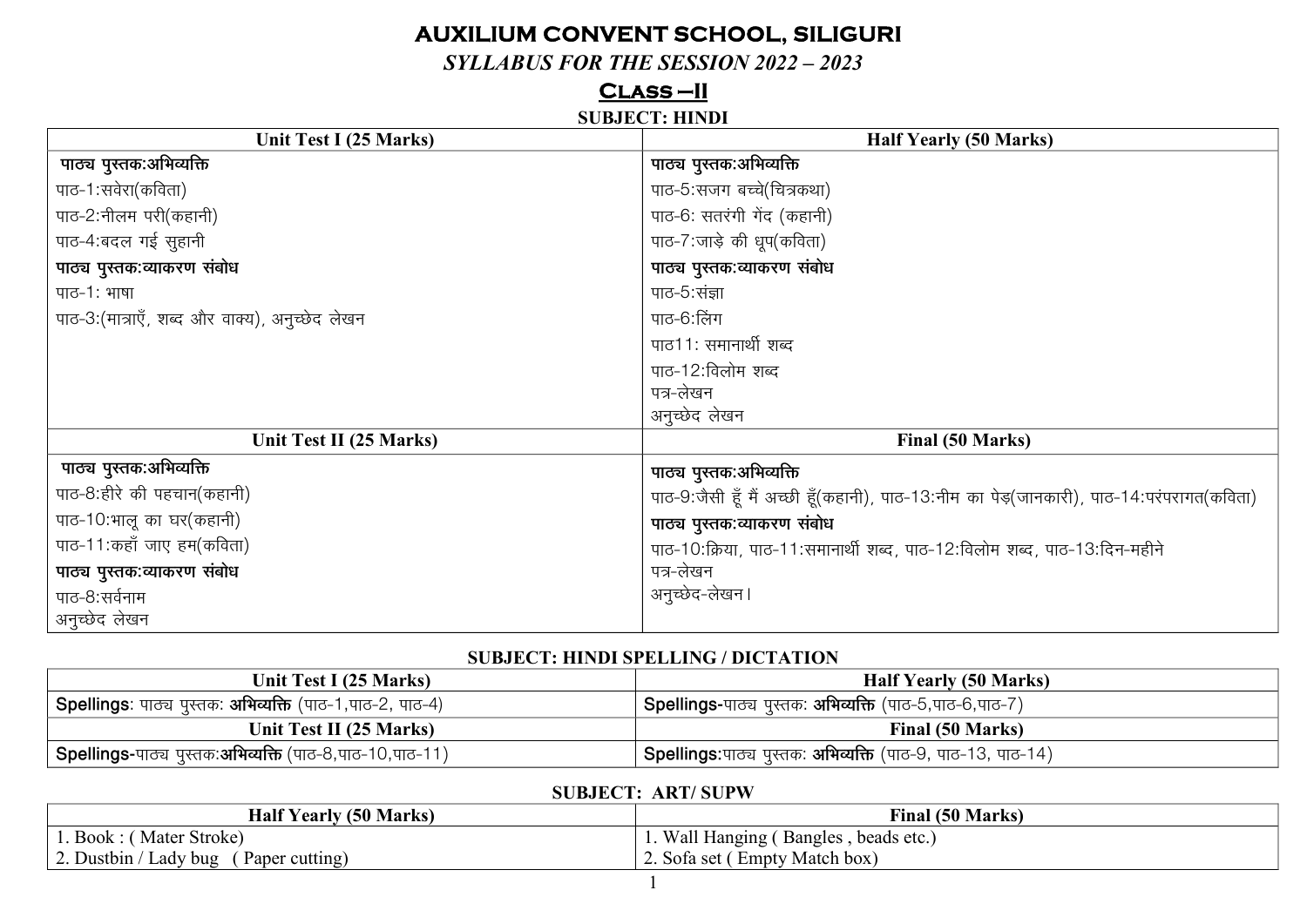# **AUXILIUM CONVENT SCHOOL, SILIGURI**

## $SYLABUS FOR THE SESION 2022 - 2023$

## $CLASS-II$

#### **SUBJECT: HINDI**

| Unit Test I (25 Marks)                         | <b>Half Yearly (50 Marks)</b>                                                            |
|------------------------------------------------|------------------------------------------------------------------------------------------|
| पाठ्य पुस्तक:अभिव्यक्ति                        | पाठ्य पुस्तक:अभिव्यक्ति                                                                  |
| पाठ-1:सवेरा(कविता)                             | पाठ-5:सजग बच्चे(चित्रकथा)                                                                |
| पाठ-2:नीलम परी(कहानी)                          | पाठ-6: सतरंगी गेंद (कहानी)                                                               |
| पाठ-4:बदल गई सुहानी                            | पाठ-7:जाड़े की धूप(कविता)                                                                |
| पाठ्य पुस्तक:व्याकरण संबोध                     | पाठ्य पुस्तक:व्याकरण संबोध                                                               |
| पाठ-1: भाषा                                    | पाठ-5:संज्ञा                                                                             |
| पाठ-3:(मात्राएँ, शब्द और वाक्य), अनुच्छेद लेखन | पाठ-6:लिंग                                                                               |
|                                                | पाठ11: समानार्थी शब्द                                                                    |
|                                                | पाठ-12:विलोम शब्द                                                                        |
|                                                | पत्र-लेखन                                                                                |
|                                                | अनुच्छेद लेखन                                                                            |
| Unit Test II (25 Marks)                        | Final (50 Marks)                                                                         |
| पाठ्य पुस्तक:अभिव्यक्ति                        | पाठ्य पुस्तक:अभिव्यक्ति                                                                  |
| पाठ-8:हीरे की पहचान(कहानी)                     | पाठ-9:जैसी हूँ मैं अच्छी हूँ(कहानी), पाठ-13:नीम का पेड़(जानकारी), पाठ-14:परंपरागत(कविता) |
| पाठ-10:भालू का घर(कहानी)                       | पाठ्य पुस्तक:व्याकरण संबोध                                                               |
| पाठ-11: कहाँ जाए हम(कविता)                     | पाठ-10:क्रिया, पाठ-11:समानार्थी शब्द, पाठ-12:विलोम शब्द, पाठ-13:दिन-महीने                |
| पाठ्य पुस्तक:व्याकरण संबोध                     | पत्र-लेखन                                                                                |
| पाठ-8:सर्वनाम                                  | अनुच्छेद-लेखन।                                                                           |
| अनुच्छेद लेखन                                  |                                                                                          |

#### **SUBJECT: HINDI SPELLING / DICTATION**

| Unit Test I (25 Marks)                                                  | <b>Half Yearly (50 Marks)</b>                                               |
|-------------------------------------------------------------------------|-----------------------------------------------------------------------------|
| <b>Spellings</b> : पाठ्य पुस्तक: <b>अभिव्यक्ति</b> (पाठ-1,पाठ-2, पाठ-4) | <b>' Spellings-</b> पाठ्य पुस्तक: <b>अभिव्यक्ति</b> (पाठ-5,पाठ-6,पाठ-7)     |
| Unit Test II (25 Marks)                                                 | Final (50 Marks)                                                            |
| <b>Spellings-</b> पाठ्य पुस्तक:अभिव्यक्ति (पाठ-8,पाठ-10,पाठ-11)         | <b>' Spellings:</b> पाठ्य पुस्तक: <b>अभिव्यक्ति</b> (पाठ-9, पाठ-13, पाठ-14) |

## **SUBJECT: ART/SUPW**

| <b>Half Yearly (50 Marks)</b>                                  | <b>Final (50 Marks)</b>                 |
|----------------------------------------------------------------|-----------------------------------------|
| . Book : (Mater Stroke)                                        | Wall Hanging (<br>(Bangles, beads etc.) |
| $\angle$ . Dustbin / $\Gamma$<br>' Ladv bug<br>(Paper cutting) | 2. Sofa set (Empty Match box)           |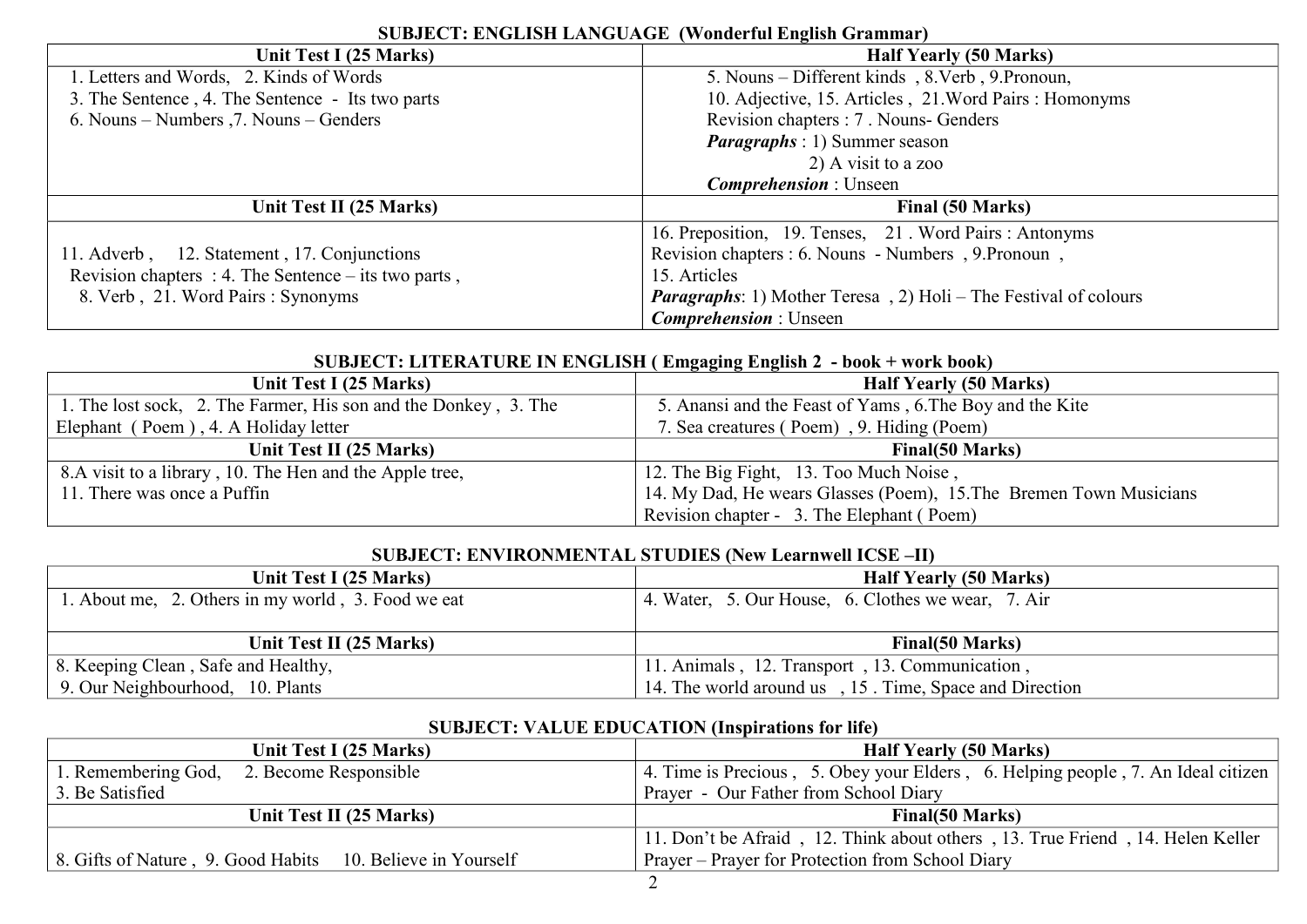| Unit Test I (25 Marks)                                 | <b>Half Yearly (50 Marks)</b>                                          |
|--------------------------------------------------------|------------------------------------------------------------------------|
| 1. Letters and Words, 2. Kinds of Words                | 5. Nouns – Different kinds, 8. Verb, 9. Pronoun,                       |
| 3. The Sentence, 4. The Sentence - Its two parts       | 10. Adjective, 15. Articles, 21. Word Pairs: Homonyms                  |
| 6. Nouns – Numbers , 7. Nouns – Genders                | Revision chapters : 7. Nouns- Genders                                  |
|                                                        | <i>Paragraphs</i> : 1) Summer season                                   |
|                                                        | 2) A visit to a zoo                                                    |
|                                                        | <b><i>Comprehension</i></b> : Unseen                                   |
| Unit Test II (25 Marks)                                | Final (50 Marks)                                                       |
|                                                        | 16. Preposition, 19. Tenses, 21. Word Pairs: Antonyms                  |
| 11. Adverb, 12. Statement, 17. Conjunctions            | Revision chapters : 6. Nouns - Numbers, 9. Pronoun,                    |
| Revision chapters : 4. The Sentence $-$ its two parts, | 15. Articles                                                           |
| 8. Verb, 21. Word Pairs: Synonyms                      | <b>Paragraphs:</b> 1) Mother Teresa, 2) Holi – The Festival of colours |
|                                                        | <b>Comprehension</b> : Unseen                                          |

## **SUBJECT: ENGLISH LANGUAGE (Wonderful English Grammar)**

#### **SUBJECT: LITERATURE IN ENGLISH ( Emgaging English 2 - book + work book)**

|                                                                 | .                                                                  |
|-----------------------------------------------------------------|--------------------------------------------------------------------|
| Unit Test I (25 Marks)                                          | <b>Half Yearly (50 Marks)</b>                                      |
| 1. The lost sock, 2. The Farmer, His son and the Donkey, 3. The | 5. Anansi and the Feast of Yams, 6. The Boy and the Kite           |
| Elephant (Poem), 4. A Holiday letter                            | 7. Sea creatures (Poem), 9. Hiding (Poem)                          |
| Unit Test II (25 Marks)                                         | <b>Final</b> (50 Marks)                                            |
| 8.A visit to a library, 10. The Hen and the Apple tree,         | 12. The Big Fight, 13. Too Much Noise,                             |
| 11. There was once a Puffin                                     | 14. My Dad, He wears Glasses (Poem), 15. The Bremen Town Musicians |
|                                                                 | Revision chapter - 3. The Elephant (Poem)                          |

### **SUBJECT: ENVIRONMENTAL STUDIES (New Learnwell ICSE –II)**

| Unit Test I (25 Marks)                             | <b>Half Yearly (50 Marks)</b>                      |
|----------------------------------------------------|----------------------------------------------------|
| 1. About me, 2. Others in my world, 3. Food we eat | 4. Water, 5. Our House, 6. Clothes we wear, 7. Air |
|                                                    |                                                    |
|                                                    |                                                    |
| Unit Test II (25 Marks)                            | <b>Final</b> (50 Marks)                            |
| 8. Keeping Clean, Safe and Healthy,                | 11. Animals, 12. Transport, 13. Communication,     |

|                                                            | $\sim$                                                                           |
|------------------------------------------------------------|----------------------------------------------------------------------------------|
| Unit Test I (25 Marks)                                     | <b>Half Yearly (50 Marks)</b>                                                    |
| 2. Become Responsible<br>1. Remembering God,               | 4. Time is Precious, 5. Obey your Elders, 6. Helping people, 7. An Ideal citizen |
| 3. Be Satisfied                                            | Prayer - Our Father from School Diary                                            |
| Unit Test II (25 Marks)                                    | <b>Final</b> (50 Marks)                                                          |
|                                                            | 11. Don't be Afraid, 12. Think about others, 13. True Friend, 14. Helen Keller   |
| 8. Gifts of Nature, 9. Good Habits 10. Believe in Yourself | Prayer – Prayer for Protection from School Diary                                 |

## **SUBJECT: VALUE EDUCATION (Inspirations for life)**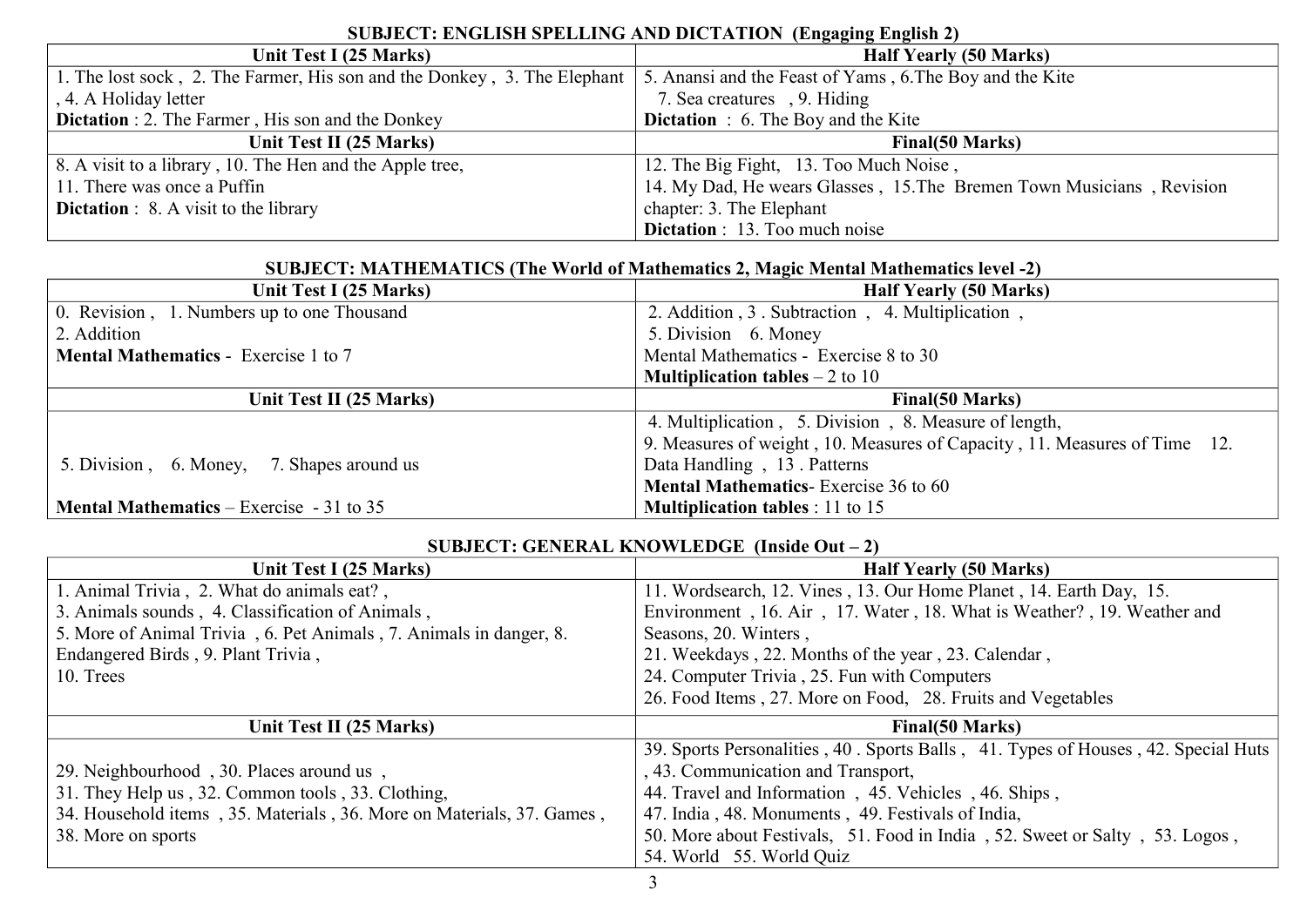| Unit Test I (25 Marks)                                                   | <b>Half Yearly (50 Marks)</b>                                         |
|--------------------------------------------------------------------------|-----------------------------------------------------------------------|
| 1. The lost sock, 2. The Farmer, His son and the Donkey, 3. The Elephant | 5. Anansi and the Feast of Yams, 6. The Boy and the Kite              |
| , 4. A Holiday letter                                                    | 7. Sea creatures, 9. Hiding                                           |
| <b>Dictation : 2.</b> The Farmer, His son and the Donkey                 | <b>Dictation</b> : 6. The Boy and the Kite                            |
| Unit Test II (25 Marks)                                                  | <b>Final</b> (50 Marks)                                               |
| 8. A visit to a library, 10. The Hen and the Apple tree,                 | 12. The Big Fight, 13. Too Much Noise,                                |
| 11. There was once a Puffin                                              | 14. My Dad, He wears Glasses, 15. The Bremen Town Musicians, Revision |
| <b>Dictation</b> : 8. A visit to the library                             | chapter: 3. The Elephant                                              |
|                                                                          | <b>Dictation</b> : 13. Too much noise                                 |

## **SUBJECT: ENGLISH SPELLING AND DICTATION (Engaging English 2)**

#### **SUBJECT: MATHEMATICS (The World of Mathematics 2, Magic Mental Mathematics level -2)**

| Unit Test I (25 Marks)                          | <b>Half Yearly (50 Marks)</b>                                             |
|-------------------------------------------------|---------------------------------------------------------------------------|
| 0. Revision, 1. Numbers up to one Thousand      | 2. Addition, 3. Subtraction, 4. Multiplication,                           |
| 2. Addition                                     | 5. Division 6. Money                                                      |
| <b>Mental Mathematics - Exercise 1 to 7</b>     | Mental Mathematics - Exercise 8 to 30                                     |
|                                                 | <b>Multiplication tables</b> $-2$ to 10                                   |
| Unit Test II (25 Marks)                         | Final(50 Marks)                                                           |
|                                                 | 4. Multiplication, 5. Division, 8. Measure of length,                     |
|                                                 | 9. Measures of weight, 10. Measures of Capacity, 11. Measures of Time 12. |
| 5. Division, 6. Money, 7. Shapes around us      | Data Handling, 13. Patterns                                               |
|                                                 | <b>Mental Mathematics-</b> Exercise 36 to 60                              |
| <b>Mental Mathematics</b> – Exercise - 31 to 35 | <b>Multiplication tables</b> : 11 to 15                                   |

#### **SUBJECT: GENERAL KNOWLEDGE (Inside Out – 2)**

| Unit Test I (25 Marks)                                                | <b>Half Yearly (50 Marks)</b>                                                     |
|-----------------------------------------------------------------------|-----------------------------------------------------------------------------------|
| 1. Animal Trivia, 2. What do animals eat?,                            | 11. Wordsearch, 12. Vines, 13. Our Home Planet, 14. Earth Day, 15.                |
| 3. Animals sounds, 4. Classification of Animals,                      | Environment, 16. Air, 17. Water, 18. What is Weather?, 19. Weather and            |
| 5. More of Animal Trivia, 6. Pet Animals, 7. Animals in danger, 8.    | Seasons, 20. Winters,                                                             |
| Endangered Birds, 9. Plant Trivia,                                    | 21. Weekdays, 22. Months of the year, 23. Calendar,                               |
| 10. Trees                                                             | 24. Computer Trivia, 25. Fun with Computers                                       |
|                                                                       | 26. Food Items, 27. More on Food, 28. Fruits and Vegetables                       |
|                                                                       |                                                                                   |
| Unit Test II (25 Marks)                                               | <b>Final</b> (50 Marks)                                                           |
|                                                                       | 39. Sports Personalities, 40. Sports Balls, 41. Types of Houses, 42. Special Huts |
| 29. Neighbourhood, 30. Places around us,                              | , 43. Communication and Transport,                                                |
| 31. They Help us, 32. Common tools, 33. Clothing,                     | 44. Travel and Information, 45. Vehicles, 46. Ships,                              |
| 34. Household items, 35. Materials, 36. More on Materials, 37. Games, | 47. India, 48. Monuments, 49. Festivals of India,                                 |
| 38. More on sports                                                    | 50. More about Festivals, 51. Food in India, 52. Sweet or Salty, 53. Logos,       |